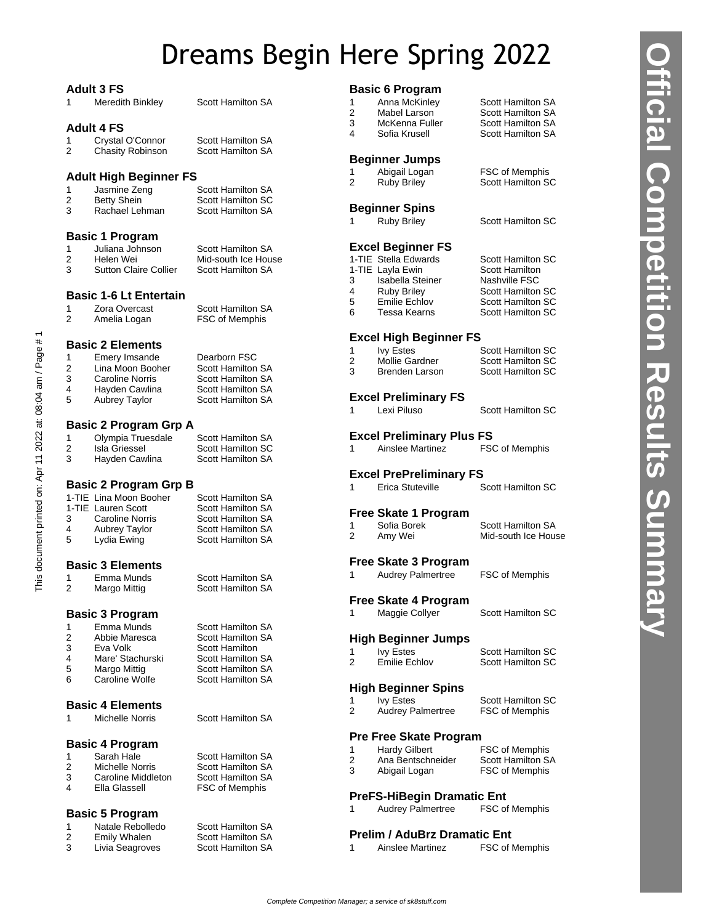# Dreams Begin Here Spring 2022

### **Adult 3 FS**

|                     | <b>Adult 3 FS</b>                      |                                                      | <b>Basic 6 Program</b> |                                                         |                          |
|---------------------|----------------------------------------|------------------------------------------------------|------------------------|---------------------------------------------------------|--------------------------|
| 1                   | Meredith Binkley                       | <b>Scott Hamilton SA</b>                             | 1                      | Anna McKinley                                           | Scott Hamilton SA        |
|                     |                                        |                                                      | 2                      | Mabel Larson                                            | Scott Hamilton SA        |
|                     | <b>Adult 4 FS</b>                      |                                                      | 3                      | McKenna Fuller                                          | Scott Hamilton SA        |
|                     |                                        |                                                      | 4                      | Sofia Krusell                                           | Scott Hamilton SA        |
| 1<br>$\overline{2}$ | Crystal O'Connor                       | Scott Hamilton SA<br><b>Scott Hamilton SA</b>        |                        |                                                         |                          |
|                     | <b>Chasity Robinson</b>                |                                                      |                        | <b>Beginner Jumps</b>                                   |                          |
|                     |                                        |                                                      | 1                      | Abigail Logan                                           | FSC of Memphis           |
|                     | <b>Adult High Beginner FS</b>          |                                                      | 2                      | <b>Ruby Briley</b>                                      | Scott Hamilton SC        |
| 1                   | Jasmine Zeng                           | <b>Scott Hamilton SA</b>                             |                        |                                                         |                          |
| $\overline{2}$      | <b>Betty Shein</b>                     | Scott Hamilton SC                                    |                        |                                                         |                          |
| 3                   | Rachael Lehman                         | <b>Scott Hamilton SA</b>                             |                        | <b>Beginner Spins</b>                                   |                          |
|                     |                                        |                                                      | 1.                     | <b>Ruby Briley</b>                                      | <b>Scott Hamilton SC</b> |
|                     | <b>Basic 1 Program</b>                 |                                                      |                        |                                                         |                          |
| 1                   | Juliana Johnson                        | <b>Scott Hamilton SA</b>                             |                        | <b>Excel Beginner FS</b>                                |                          |
| 2                   | Helen Wei                              | Mid-south Ice House                                  |                        | 1-TIE Stella Edwards                                    | <b>Scott Hamilton SC</b> |
| 3                   | <b>Sutton Claire Collier</b>           | <b>Scott Hamilton SA</b>                             | 1-TIE Layla Ewin       |                                                         | Scott Hamilton           |
|                     |                                        |                                                      | 3                      | Isabella Steiner                                        | Nashville FSC            |
|                     |                                        |                                                      | 4                      | <b>Ruby Briley</b>                                      | <b>Scott Hamilton SC</b> |
|                     | <b>Basic 1-6 Lt Entertain</b>          |                                                      | 5                      | <b>Emilie Echlov</b>                                    | <b>Scott Hamilton SC</b> |
| 1                   | Zora Overcast                          | Scott Hamilton SA                                    | 6                      | Tessa Kearns                                            | <b>Scott Hamilton SC</b> |
| $\overline{2}$      | Amelia Logan                           | FSC of Memphis                                       |                        |                                                         |                          |
|                     |                                        |                                                      |                        |                                                         |                          |
|                     | <b>Basic 2 Elements</b>                |                                                      |                        | <b>Excel High Beginner FS</b>                           |                          |
| 1                   | Emery Imsande                          | Dearborn FSC                                         | 1                      | <b>Ivy Estes</b>                                        | <b>Scott Hamilton SC</b> |
| $\overline{2}$      | Lina Moon Booher                       | <b>Scott Hamilton SA</b>                             | $\overline{c}$         | Mollie Gardner                                          | <b>Scott Hamilton SC</b> |
| 3                   | Caroline Norris                        | Scott Hamilton SA                                    | 3                      | <b>Brenden Larson</b>                                   | <b>Scott Hamilton SC</b> |
| 4                   | Hayden Cawlina                         | Scott Hamilton SA                                    |                        |                                                         |                          |
| 5                   | <b>Aubrey Taylor</b>                   | <b>Scott Hamilton SA</b>                             |                        | <b>Excel Preliminary FS</b>                             |                          |
|                     |                                        |                                                      | 1                      | Lexi Piluso                                             | <b>Scott Hamilton SC</b> |
|                     |                                        |                                                      |                        |                                                         |                          |
|                     | <b>Basic 2 Program Grp A</b>           |                                                      |                        | <b>Excel Preliminary Plus FS</b>                        |                          |
| 1                   | Olympia Truesdale                      | <b>Scott Hamilton SA</b>                             |                        |                                                         |                          |
| 2                   | Isla Griessel                          | <b>Scott Hamilton SC</b>                             | 1                      | Ainslee Martinez                                        | FSC of Memphis           |
| 3                   | Hayden Cawlina                         | Scott Hamilton SA                                    |                        |                                                         |                          |
|                     |                                        |                                                      |                        |                                                         |                          |
|                     |                                        |                                                      |                        | <b>Excel PrePreliminary FS</b>                          |                          |
|                     | <b>Basic 2 Program Grp B</b>           |                                                      | $\mathbf{1}$           | Erica Stuteville                                        | <b>Scott Hamilton SC</b> |
|                     | 1-TIE Lina Moon Booher                 | <b>Scott Hamilton SA</b>                             |                        |                                                         |                          |
|                     | 1-TIE Lauren Scott                     | <b>Scott Hamilton SA</b>                             |                        |                                                         |                          |
| 3                   | Caroline Norris                        | Scott Hamilton SA                                    |                        | <b>Free Skate 1 Program</b>                             |                          |
| 4                   | Aubrey Taylor                          | Scott Hamilton SA                                    | 1                      | Sofia Borek                                             | Scott Hamilton SA        |
| 5                   | Lydia Ewing                            | <b>Scott Hamilton SA</b>                             | $\overline{2}$         | Amy Wei                                                 | Mid-south Ice House      |
|                     |                                        |                                                      |                        |                                                         |                          |
|                     |                                        |                                                      |                        | <b>Free Skate 3 Program</b>                             |                          |
|                     | <b>Basic 3 Elements</b>                |                                                      | 1                      |                                                         |                          |
| 1                   | Emma Munds                             | <b>Scott Hamilton SA</b>                             |                        | Audrey Palmertree                                       | FSC of Memphis           |
| 2                   | Margo Mittig                           | <b>Scott Hamilton SA</b>                             |                        |                                                         |                          |
|                     |                                        |                                                      |                        | <b>Free Skate 4 Program</b>                             |                          |
|                     | <b>Basic 3 Program</b>                 |                                                      | 1                      | Maggie Collyer                                          | <b>Scott Hamilton SC</b> |
| 1                   | Emma Munds                             | <b>Scott Hamilton SA</b>                             |                        |                                                         |                          |
| 2                   | Abbie Maresca                          | <b>Scott Hamilton SA</b>                             |                        | <b>High Beginner Jumps</b>                              |                          |
| 3                   | Eva Volk                               | <b>Scott Hamilton</b>                                | 1                      | <b>Ivy Estes</b>                                        | <b>Scott Hamilton SC</b> |
| 4                   | Mare' Stachurski                       | <b>Scott Hamilton SA</b>                             | $\overline{2}$         | <b>Emilie Echlov</b>                                    | <b>Scott Hamilton SC</b> |
| 5                   | Margo Mittig                           | Scott Hamilton SA                                    |                        |                                                         |                          |
| 6                   | Caroline Wolfe                         | <b>Scott Hamilton SA</b>                             |                        |                                                         |                          |
|                     |                                        |                                                      |                        | <b>High Beginner Spins</b>                              |                          |
|                     | <b>Basic 4 Elements</b>                |                                                      | 1                      | <b>Ivy Estes</b>                                        | <b>Scott Hamilton SC</b> |
| 1                   |                                        | <b>Scott Hamilton SA</b>                             | 2                      | <b>Audrey Palmertree</b>                                | FSC of Memphis           |
|                     | Michelle Norris                        |                                                      |                        |                                                         |                          |
|                     |                                        |                                                      |                        | <b>Pre Free Skate Program</b>                           |                          |
|                     | <b>Basic 4 Program</b>                 |                                                      | 1                      | <b>Hardy Gilbert</b>                                    | FSC of Memphis           |
| 1                   | Sarah Hale                             | <b>Scott Hamilton SA</b>                             | $\overline{2}$         | Ana Bentschneider                                       | Scott Hamilton SA        |
| 2                   | Michelle Norris                        | <b>Scott Hamilton SA</b>                             | 3                      | Abigail Logan                                           | FSC of Memphis           |
| 3                   | Caroline Middleton                     | Scott Hamilton SA                                    |                        |                                                         |                          |
| 4                   | Ella Glassell                          | FSC of Memphis                                       |                        |                                                         |                          |
|                     |                                        |                                                      |                        | <b>PreFS-HiBegin Dramatic Ent</b>                       |                          |
|                     | <b>Basic 5 Program</b>                 |                                                      | 1                      | <b>Audrey Palmertree</b>                                | FSC of Memphis           |
| 1                   | Natale Rebolledo                       | <b>Scott Hamilton SA</b>                             |                        |                                                         |                          |
| 2<br>3              | <b>Emily Whalen</b><br>Livia Seagroves | <b>Scott Hamilton SA</b><br><b>Scott Hamilton SA</b> | 1                      | <b>Prelim / AduBrz Dramatic Ent</b><br>Ainslee Martinez | FSC of Memphis           |

**Official Competition Results Summary**

**Aficial Competition Results Summary**